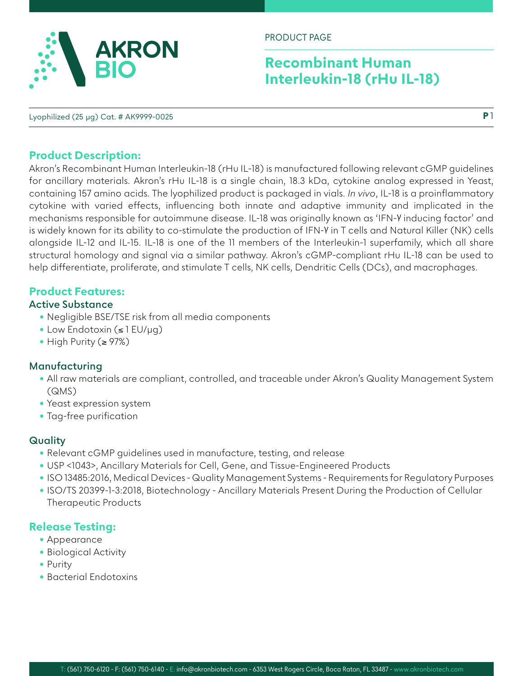

PRODUCT PAGE

# **Recombinant Human Interleukin-18 (rHu IL-18)**

Lyophilized (25 µg) Cat. # AK9999-0025

### **Product Description:**

Akron's Recombinant Human Interleukin-18 (rHu IL-18) is manufactured following relevant cGMP guidelines for ancillary materials. Akron's rHu IL-18 is a single chain, 18.3 kDa, cytokine analog expressed in Yeast, containing 157 amino acids. The lyophilized product is packaged in vials. *In vivo*, IL-18 is a proinflammatory cytokine with varied effects, influencing both innate and adaptive immunity and implicated in the mechanisms responsible for autoimmune disease. IL-18 was originally known as 'IFN-γ inducing factor' and is widely known for its ability to co-stimulate the production of IFN-γ in T cells and Natural Killer (NK) cells alongside IL-12 and IL-15. IL-18 is one of the 11 members of the Interleukin-1 superfamily, which all share structural homology and signal via a similar pathway. Akron's cGMP-compliant rHu IL-18 can be used to help differentiate, proliferate, and stimulate T cells, NK cells, Dendritic Cells (DCs), and macrophages.

# **Product Features:**

#### **Active Substance**

- Negligible BSE/TSE risk from all media components
- Low Endotoxin (≤ 1 EU/µg)
- High Purity (≥ 97%)

#### **Manufacturing**

- All raw materials are compliant, controlled, and traceable under Akron's Quality Management System (QMS)
- Yeast expression system
- Tag-free purification

#### **Quality**

- Relevant cGMP guidelines used in manufacture, testing, and release
- USP <1043>, Ancillary Materials for Cell, Gene, and Tissue-Engineered Products
- ISO 13485:2016, Medical Devices Quality Management Systems Requirements for Regulatory Purposes
- ISO/TS 20399-1-3:2018, Biotechnology Ancillary Materials Present During the Production of Cellular Therapeutic Products

# **Release Testing:**

- Appearance
- Biological Activity
- Purity
- Bacterial Endotoxins

**P** 1